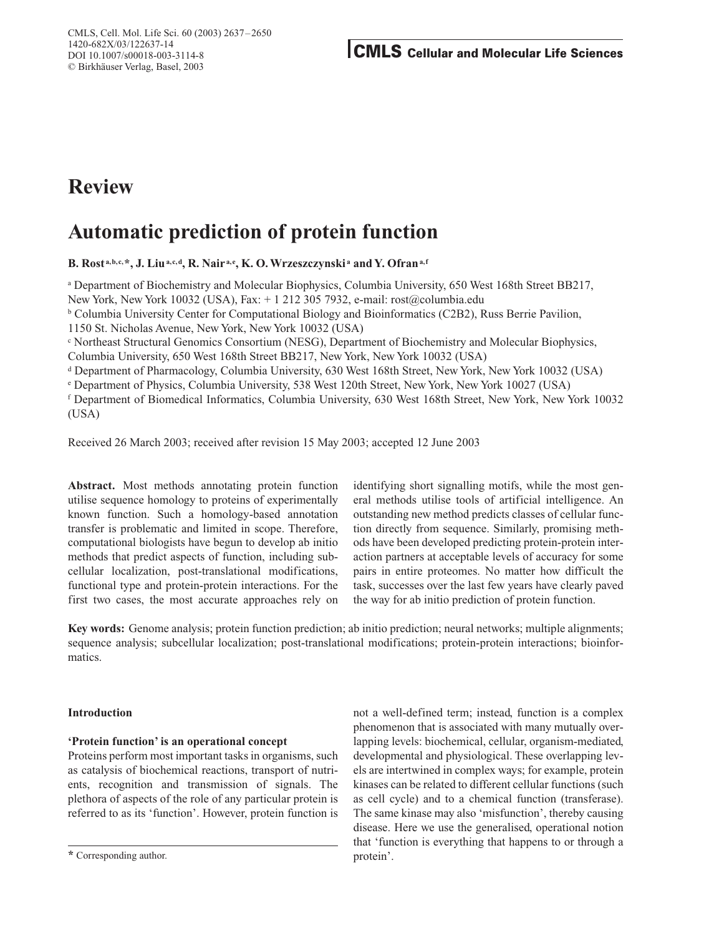# **Review**

# **Automatic prediction of protein function**

**B. Rost a,b,c,\*, J. Liua,c,d, R. Nair a,e, K. O.Wrzeszczynski <sup>a</sup> and Y. Ofrana,f**

<sup>a</sup> Department of Biochemistry and Molecular Biophysics, Columbia University, 650 West 168th Street BB217, New York, New York 10032 (USA), Fax: + 1 212 305 7932, e-mail: rost@columbia.edu

<sup>b</sup> Columbia University Center for Computational Biology and Bioinformatics (C2B2), Russ Berrie Pavilion,

1150 St. Nicholas Avenue, New York, New York 10032 (USA)

<sup>c</sup> Northeast Structural Genomics Consortium (NESG), Department of Biochemistry and Molecular Biophysics, Columbia University, 650 West 168th Street BB217, New York, New York 10032 (USA)

<sup>d</sup> Department of Pharmacology, Columbia University, 630 West 168th Street, New York, New York 10032 (USA)

<sup>e</sup> Department of Physics, Columbia University, 538 West 120th Street, New York, New York 10027 (USA)

<sup>f</sup> Department of Biomedical Informatics, Columbia University, 630 West 168th Street, New York, New York 10032 (USA)

Received 26 March 2003; received after revision 15 May 2003; accepted 12 June 2003

**Abstract.** Most methods annotating protein function utilise sequence homology to proteins of experimentally known function. Such a homology-based annotation transfer is problematic and limited in scope. Therefore, computational biologists have begun to develop ab initio methods that predict aspects of function, including subcellular localization, post-translational modifications, functional type and protein-protein interactions. For the first two cases, the most accurate approaches rely on identifying short signalling motifs, while the most general methods utilise tools of artificial intelligence. An outstanding new method predicts classes of cellular function directly from sequence. Similarly, promising methods have been developed predicting protein-protein interaction partners at acceptable levels of accuracy for some pairs in entire proteomes. No matter how difficult the task, successes over the last few years have clearly paved the way for ab initio prediction of protein function.

**Key words:** Genome analysis; protein function prediction; ab initio prediction; neural networks; multiple alignments; sequence analysis; subcellular localization; post-translational modifications; protein-protein interactions; bioinformatics.

# **Introduction**

# **'Protein function' is an operational concept**

Proteins perform most important tasks in organisms, such as catalysis of biochemical reactions, transport of nutrients, recognition and transmission of signals. The plethora of aspects of the role of any particular protein is referred to as its 'function'. However, protein function is not a well-defined term; instead, function is a complex phenomenon that is associated with many mutually overlapping levels: biochemical, cellular, organism-mediated, developmental and physiological. These overlapping levels are intertwined in complex ways; for example, protein kinases can be related to different cellular functions (such as cell cycle) and to a chemical function (transferase). The same kinase may also 'misfunction', thereby causing disease. Here we use the generalised, operational notion that 'function is everything that happens to or through a protein'.

**<sup>\*</sup>** Corresponding author.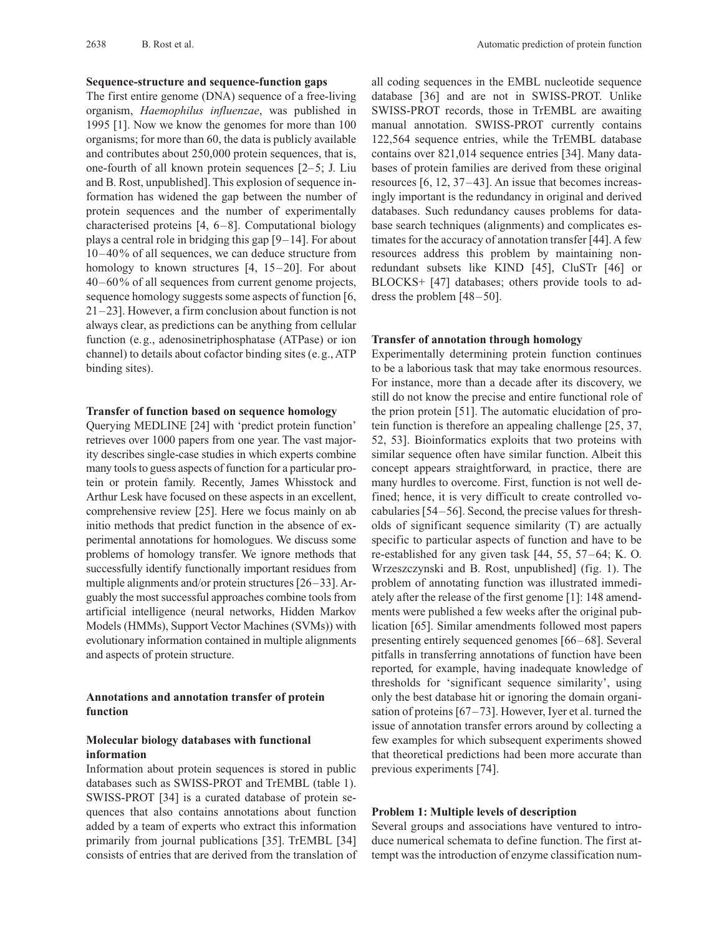#### **Sequence-structure and sequence-function gaps**

The first entire genome (DNA) sequence of a free-living organism, *Haemophilus influenzae*, was published in 1995 [1]. Now we know the genomes for more than 100 organisms; for more than 60, the data is publicly available and contributes about 250,000 protein sequences, that is, one-fourth of all known protein sequences [2–5; J. Liu and B. Rost, unpublished]. This explosion of sequence information has widened the gap between the number of protein sequences and the number of experimentally characterised proteins [4, 6–8]. Computational biology plays a central role in bridging this gap [9–14]. For about 10–40% of all sequences, we can deduce structure from homology to known structures [4, 15–20]. For about 40–60% of all sequences from current genome projects, sequence homology suggests some aspects of function [6, 21–23]. However, a firm conclusion about function is not always clear, as predictions can be anything from cellular function (e.g., adenosinetriphosphatase (ATPase) or ion channel) to details about cofactor binding sites (e.g., ATP binding sites).

#### **Transfer of function based on sequence homology**

Querying MEDLINE [24] with 'predict protein function' retrieves over 1000 papers from one year. The vast majority describes single-case studies in which experts combine many tools to guess aspects of function for a particular protein or protein family. Recently, James Whisstock and Arthur Lesk have focused on these aspects in an excellent, comprehensive review [25]. Here we focus mainly on ab initio methods that predict function in the absence of experimental annotations for homologues. We discuss some problems of homology transfer. We ignore methods that successfully identify functionally important residues from multiple alignments and/or protein structures [26–33]. Arguably the most successful approaches combine tools from artificial intelligence (neural networks, Hidden Markov Models (HMMs), Support Vector Machines (SVMs)) with evolutionary information contained in multiple alignments and aspects of protein structure.

# **Annotations and annotation transfer of protein function**

# **Molecular biology databases with functional information**

Information about protein sequences is stored in public databases such as SWISS-PROT and TrEMBL (table 1). SWISS-PROT [34] is a curated database of protein sequences that also contains annotations about function added by a team of experts who extract this information primarily from journal publications [35]. TrEMBL [34] consists of entries that are derived from the translation of all coding sequences in the EMBL nucleotide sequence database [36] and are not in SWISS-PROT. Unlike SWISS-PROT records, those in TrEMBL are awaiting manual annotation. SWISS-PROT currently contains 122,564 sequence entries, while the TrEMBL database contains over 821,014 sequence entries [34]. Many databases of protein families are derived from these original resources [6, 12, 37–43]. An issue that becomes increasingly important is the redundancy in original and derived databases. Such redundancy causes problems for database search techniques (alignments) and complicates estimates for the accuracy of annotation transfer [44]. A few resources address this problem by maintaining nonredundant subsets like KIND [45], CluSTr [46] or BLOCKS+ [47] databases; others provide tools to address the problem [48–50].

#### **Transfer of annotation through homology**

Experimentally determining protein function continues to be a laborious task that may take enormous resources. For instance, more than a decade after its discovery, we still do not know the precise and entire functional role of the prion protein [51]. The automatic elucidation of protein function is therefore an appealing challenge [25, 37, 52, 53]. Bioinformatics exploits that two proteins with similar sequence often have similar function. Albeit this concept appears straightforward, in practice, there are many hurdles to overcome. First, function is not well defined; hence, it is very difficult to create controlled vocabularies [54–56]. Second, the precise values for thresholds of significant sequence similarity (T) are actually specific to particular aspects of function and have to be re-established for any given task [44, 55, 57–64; K. O. Wrzeszczynski and B. Rost, unpublished] (fig. 1). The problem of annotating function was illustrated immediately after the release of the first genome [1]: 148 amendments were published a few weeks after the original publication [65]. Similar amendments followed most papers presenting entirely sequenced genomes [66–68]. Several pitfalls in transferring annotations of function have been reported, for example, having inadequate knowledge of thresholds for 'significant sequence similarity', using only the best database hit or ignoring the domain organisation of proteins  $[67-73]$ . However, Iyer et al. turned the issue of annotation transfer errors around by collecting a few examples for which subsequent experiments showed that theoretical predictions had been more accurate than previous experiments [74].

#### **Problem 1: Multiple levels of description**

Several groups and associations have ventured to introduce numerical schemata to define function. The first attempt was the introduction of enzyme classification num-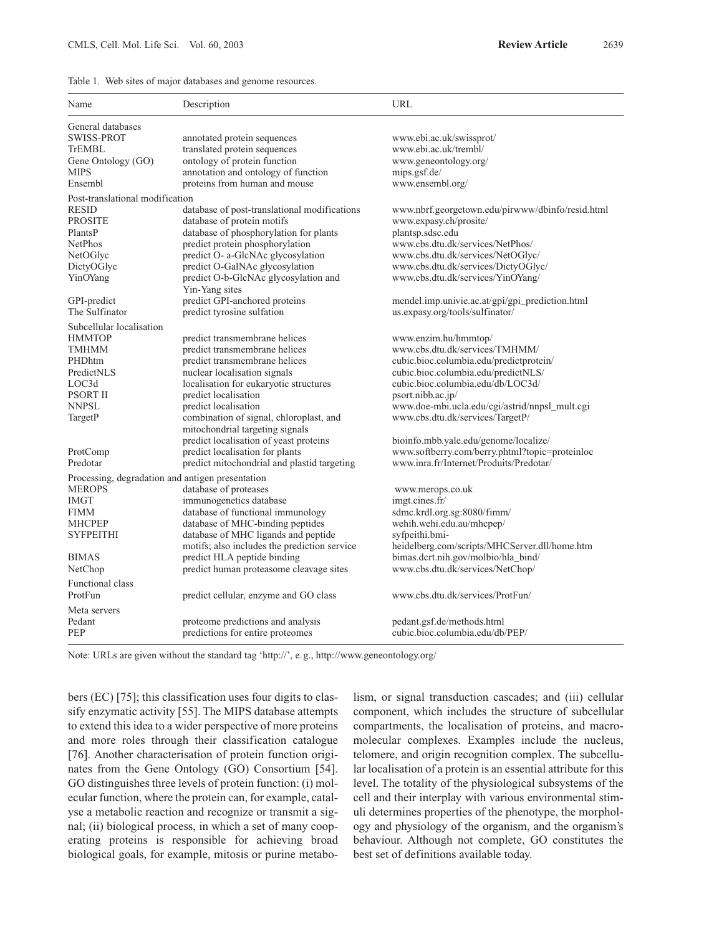|  |  |  | Table 1. Web sites of major databases and genome resources. |
|--|--|--|-------------------------------------------------------------|
|  |  |  |                                                             |

| Name                                             | Description                                                               | URL                                                                                     |
|--------------------------------------------------|---------------------------------------------------------------------------|-----------------------------------------------------------------------------------------|
| General databases                                |                                                                           |                                                                                         |
| SWISS-PROT                                       | annotated protein sequences                                               | www.ebi.ac.uk/swissprot/                                                                |
| TrEMBL                                           | translated protein sequences                                              | www.ebi.ac.uk/trembl/                                                                   |
| Gene Ontology (GO)                               | ontology of protein function                                              | www.geneontology.org/                                                                   |
| <b>MIPS</b>                                      | annotation and ontology of function                                       | mips.gsf.de/                                                                            |
| Ensembl                                          | proteins from human and mouse                                             | www.ensembl.org/                                                                        |
| Post-translational modification                  |                                                                           |                                                                                         |
| <b>RESID</b>                                     | database of post-translational modifications                              | www.nbrf.georgetown.edu/pirwww/dbinfo/resid.html                                        |
| <b>PROSITE</b>                                   | database of protein motifs                                                | www.expasy.ch/prosite/                                                                  |
| PlantsP                                          | database of phosphorylation for plants                                    | plantsp.sdsc.edu                                                                        |
| <b>NetPhos</b>                                   | predict protein phosphorylation                                           | www.cbs.dtu.dk/services/NetPhos/                                                        |
| NetOGlyc                                         | predict O- a-GlcNAc glycosylation                                         | www.cbs.dtu.dk/services/NetOGlyc/                                                       |
| DictyOGlyc                                       | predict O-GalNAc glycosylation                                            | www.cbs.dtu.dk/services/DictyOGlyc/                                                     |
| YinOYang                                         | predict O-b-GlcNAc glycosylation and                                      | www.cbs.dtu.dk/services/YinOYang/                                                       |
|                                                  | Yin-Yang sites                                                            |                                                                                         |
| GPI-predict                                      | predict GPI-anchored proteins                                             | mendel.imp.univie.ac.at/gpi/gpi_prediction.html                                         |
| The Sulfinator                                   | predict tyrosine sulfation                                                | us.expasy.org/tools/sulfinator/                                                         |
| Subcellular localisation                         |                                                                           |                                                                                         |
| <b>HMMTOP</b>                                    | predict transmembrane helices                                             | www.enzim.hu/hmmtop/                                                                    |
| TMHMM                                            | predict transmembrane helices                                             | www.cbs.dtu.dk/services/TMHMM/                                                          |
| PHDhtm                                           | predict transmembrane helices                                             | cubic.bioc.columbia.edu/predictprotein/                                                 |
| PredictNLS                                       | nuclear localisation signals                                              | cubic.bioc.columbia.edu/predictNLS/                                                     |
| LOC3d                                            | localisation for eukaryotic structures                                    | cubic.bioc.columbia.edu/db/LOC3d/                                                       |
| <b>PSORT II</b>                                  | predict localisation                                                      | psort.nibb.ac.jp/                                                                       |
| <b>NNPSL</b>                                     | predict localisation                                                      | www.doe-mbi.ucla.edu/cgi/astrid/nnpsl_mult.cgi                                          |
| TargetP                                          | combination of signal, chloroplast, and                                   | www.cbs.dtu.dk/services/TargetP/                                                        |
|                                                  | mitochondrial targeting signals                                           |                                                                                         |
|                                                  | predict localisation of yeast proteins<br>predict localisation for plants | bioinfo.mbb.yale.edu/genome/localize/<br>www.softberry.com/berry.phtml?topic=proteinloc |
| ProtComp<br>Predotar                             | predict mitochondrial and plastid targeting                               | www.inra.fr/Internet/Produits/Predotar/                                                 |
|                                                  |                                                                           |                                                                                         |
| Processing, degradation and antigen presentation |                                                                           |                                                                                         |
| <b>MEROPS</b>                                    | database of proteases                                                     | www.merops.co.uk                                                                        |
| <b>IMGT</b>                                      | immunogenetics database                                                   | imgt.cines.fr/                                                                          |
| <b>FIMM</b>                                      | database of functional immunology                                         | sdmc.krdl.org.sg:8080/fimm/                                                             |
| <b>MHCPEP</b>                                    | database of MHC-binding peptides                                          | wehih.wehi.edu.au/mhcpep/                                                               |
| <b>SYFPEITHI</b>                                 | database of MHC ligands and peptide                                       | syfpeithi.bmi-                                                                          |
|                                                  | motifs; also includes the prediction service                              | heidelberg.com/scripts/MHCServer.dll/home.htm                                           |
| <b>BIMAS</b>                                     | predict HLA peptide binding                                               | bimas.dcrt.nih.gov/molbio/hla_bind/                                                     |
| NetChop                                          | predict human proteasome cleavage sites                                   | www.cbs.dtu.dk/services/NetChop/                                                        |
| <b>Functional class</b>                          |                                                                           |                                                                                         |
| ProtFun                                          | predict cellular, enzyme and GO class                                     | www.cbs.dtu.dk/services/ProtFun/                                                        |
| Meta servers                                     |                                                                           |                                                                                         |
| Pedant                                           | proteome predictions and analysis                                         | pedant.gsf.de/methods.html                                                              |
| PEP                                              | predictions for entire proteomes                                          | cubic.bioc.columbia.edu/db/PEP/                                                         |
|                                                  |                                                                           |                                                                                         |

Note: URLs are given without the standard tag 'http://', e.g., http://www.geneontology.org/

bers (EC) [75]; this classification uses four digits to classify enzymatic activity [55]. The MIPS database attempts to extend this idea to a wider perspective of more proteins and more roles through their classification catalogue [76]. Another characterisation of protein function originates from the Gene Ontology (GO) Consortium [54]. GO distinguishes three levels of protein function: (i) molecular function, where the protein can, for example, catalyse a metabolic reaction and recognize or transmit a signal; (ii) biological process, in which a set of many cooperating proteins is responsible for achieving broad biological goals, for example, mitosis or purine metabolism, or signal transduction cascades; and (iii) cellular component, which includes the structure of subcellular compartments, the localisation of proteins, and macromolecular complexes. Examples include the nucleus, telomere, and origin recognition complex. The subcellular localisation of a protein is an essential attribute for this level. The totality of the physiological subsystems of the cell and their interplay with various environmental stimuli determines properties of the phenotype, the morphology and physiology of the organism, and the organism's behaviour. Although not complete, GO constitutes the best set of definitions available today.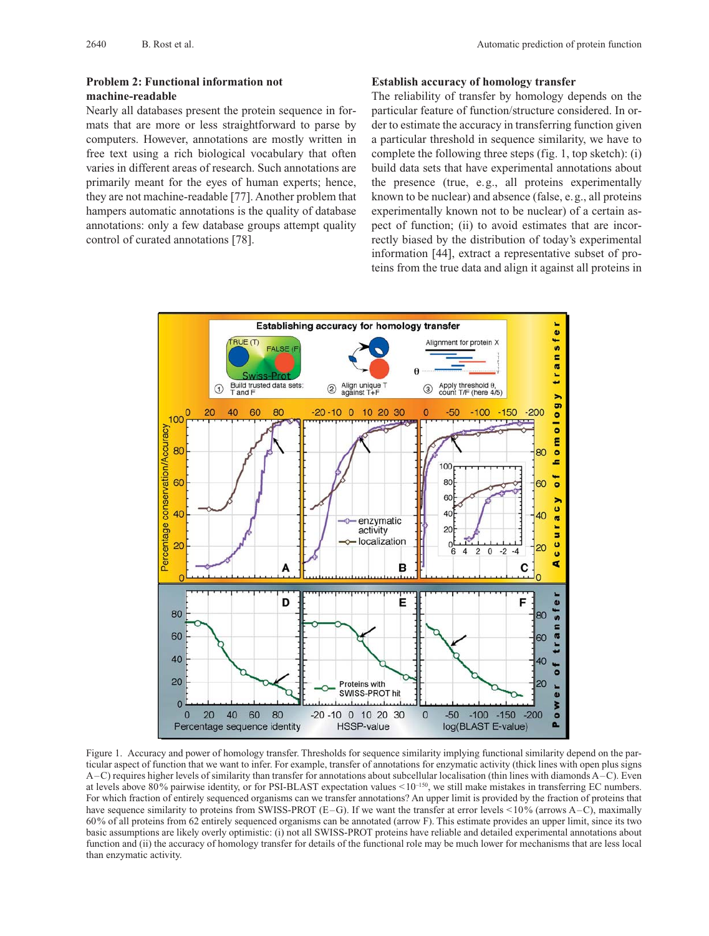# **Problem 2: Functional information not machine-readable**

Nearly all databases present the protein sequence in formats that are more or less straightforward to parse by computers. However, annotations are mostly written in free text using a rich biological vocabulary that often varies in different areas of research. Such annotations are primarily meant for the eyes of human experts; hence, they are not machine-readable [77]. Another problem that hampers automatic annotations is the quality of database annotations: only a few database groups attempt quality control of curated annotations [78].

## **Establish accuracy of homology transfer**

The reliability of transfer by homology depends on the particular feature of function/structure considered. In order to estimate the accuracy in transferring function given a particular threshold in sequence similarity, we have to complete the following three steps (fig. 1, top sketch): (i) build data sets that have experimental annotations about the presence (true, e.g., all proteins experimentally known to be nuclear) and absence (false, e.g., all proteins experimentally known not to be nuclear) of a certain aspect of function; (ii) to avoid estimates that are incorrectly biased by the distribution of today's experimental information [44], extract a representative subset of proteins from the true data and align it against all proteins in



Figure 1. Accuracy and power of homology transfer. Thresholds for sequence similarity implying functional similarity depend on the particular aspect of function that we want to infer. For example, transfer of annotations for enzymatic activity (thick lines with open plus signs A–C) requires higher levels of similarity than transfer for annotations about subcellular localisation (thin lines with diamonds A–C). Even at levels above 80% pairwise identity, or for PSI-BLAST expectation values  $\leq 10^{-150}$ , we still make mistakes in transferring EC numbers. For which fraction of entirely sequenced organisms can we transfer annotations? An upper limit is provided by the fraction of proteins that have sequence similarity to proteins from SWISS-PROT (E–G). If we want the transfer at error levels <10% (arrows A–C), maximally 60% of all proteins from 62 entirely sequenced organisms can be annotated (arrow F). This estimate provides an upper limit, since its two basic assumptions are likely overly optimistic: (i) not all SWISS-PROT proteins have reliable and detailed experimental annotations about function and (ii) the accuracy of homology transfer for details of the functional role may be much lower for mechanisms that are less local than enzymatic activity.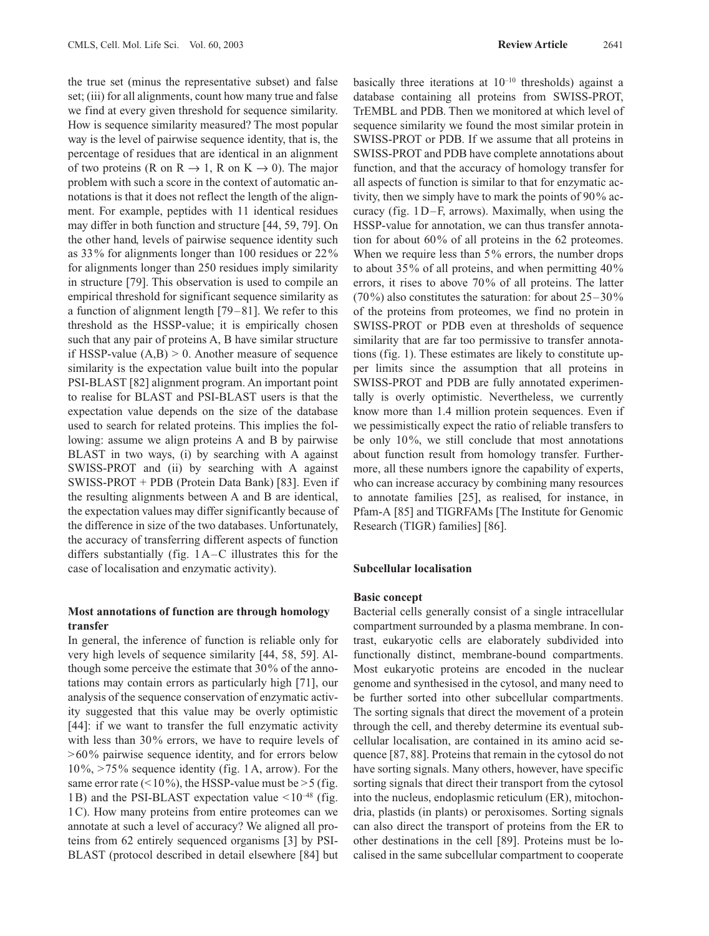the true set (minus the representative subset) and false set; (iii) for all alignments, count how many true and false we find at every given threshold for sequence similarity. How is sequence similarity measured? The most popular way is the level of pairwise sequence identity, that is, the percentage of residues that are identical in an alignment of two proteins (R on R  $\rightarrow$  1, R on K  $\rightarrow$  0). The major problem with such a score in the context of automatic annotations is that it does not reflect the length of the alignment. For example, peptides with 11 identical residues may differ in both function and structure [44, 59, 79]. On the other hand, levels of pairwise sequence identity such as 33% for alignments longer than 100 residues or 22% for alignments longer than 250 residues imply similarity in structure [79]. This observation is used to compile an empirical threshold for significant sequence similarity as a function of alignment length [79–81]. We refer to this threshold as the HSSP-value; it is empirically chosen such that any pair of proteins A, B have similar structure if HSSP-value  $(A,B) > 0$ . Another measure of sequence similarity is the expectation value built into the popular PSI-BLAST [82] alignment program. An important point to realise for BLAST and PSI-BLAST users is that the expectation value depends on the size of the database used to search for related proteins. This implies the following: assume we align proteins A and B by pairwise BLAST in two ways, (i) by searching with A against SWISS-PROT and (ii) by searching with A against SWISS-PROT + PDB (Protein Data Bank) [83]. Even if the resulting alignments between A and B are identical, the expectation values may differ significantly because of the difference in size of the two databases. Unfortunately, the accuracy of transferring different aspects of function differs substantially (fig. 1A–C illustrates this for the case of localisation and enzymatic activity).

# **Most annotations of function are through homology transfer**

In general, the inference of function is reliable only for very high levels of sequence similarity [44, 58, 59]. Although some perceive the estimate that 30% of the annotations may contain errors as particularly high [71], our analysis of the sequence conservation of enzymatic activity suggested that this value may be overly optimistic [44]: if we want to transfer the full enzymatic activity with less than 30% errors, we have to require levels of  $>60\%$  pairwise sequence identity, and for errors below 10%, >75% sequence identity (fig. 1A, arrow). For the same error rate  $($  < 10%), the HSSP-value must be > 5 (fig. 1B) and the PSI-BLAST expectation value  $\leq 10^{-48}$  (fig. 1C). How many proteins from entire proteomes can we annotate at such a level of accuracy? We aligned all proteins from 62 entirely sequenced organisms [3] by PSI-BLAST (protocol described in detail elsewhere [84] but

basically three iterations at 10–10 thresholds) against a database containing all proteins from SWISS-PROT, TrEMBL and PDB. Then we monitored at which level of sequence similarity we found the most similar protein in SWISS-PROT or PDB. If we assume that all proteins in SWISS-PROT and PDB have complete annotations about function, and that the accuracy of homology transfer for all aspects of function is similar to that for enzymatic activity, then we simply have to mark the points of 90% accuracy (fig. 1D–F, arrows). Maximally, when using the HSSP-value for annotation, we can thus transfer annotation for about 60% of all proteins in the 62 proteomes. When we require less than 5% errors, the number drops to about 35% of all proteins, and when permitting 40% errors, it rises to above 70% of all proteins. The latter  $(70\%)$  also constitutes the saturation: for about  $25-30\%$ of the proteins from proteomes, we find no protein in SWISS-PROT or PDB even at thresholds of sequence similarity that are far too permissive to transfer annotations (fig. 1). These estimates are likely to constitute upper limits since the assumption that all proteins in SWISS-PROT and PDB are fully annotated experimentally is overly optimistic. Nevertheless, we currently know more than 1.4 million protein sequences. Even if we pessimistically expect the ratio of reliable transfers to be only 10%, we still conclude that most annotations about function result from homology transfer. Furthermore, all these numbers ignore the capability of experts, who can increase accuracy by combining many resources to annotate families [25], as realised, for instance, in Pfam-A [85] and TIGRFAMs [The Institute for Genomic Research (TIGR) families] [86].

### **Subcellular localisation**

### **Basic concept**

Bacterial cells generally consist of a single intracellular compartment surrounded by a plasma membrane. In contrast, eukaryotic cells are elaborately subdivided into functionally distinct, membrane-bound compartments. Most eukaryotic proteins are encoded in the nuclear genome and synthesised in the cytosol, and many need to be further sorted into other subcellular compartments. The sorting signals that direct the movement of a protein through the cell, and thereby determine its eventual subcellular localisation, are contained in its amino acid sequence [87, 88]. Proteins that remain in the cytosol do not have sorting signals. Many others, however, have specific sorting signals that direct their transport from the cytosol into the nucleus, endoplasmic reticulum (ER), mitochondria, plastids (in plants) or peroxisomes. Sorting signals can also direct the transport of proteins from the ER to other destinations in the cell [89]. Proteins must be localised in the same subcellular compartment to cooperate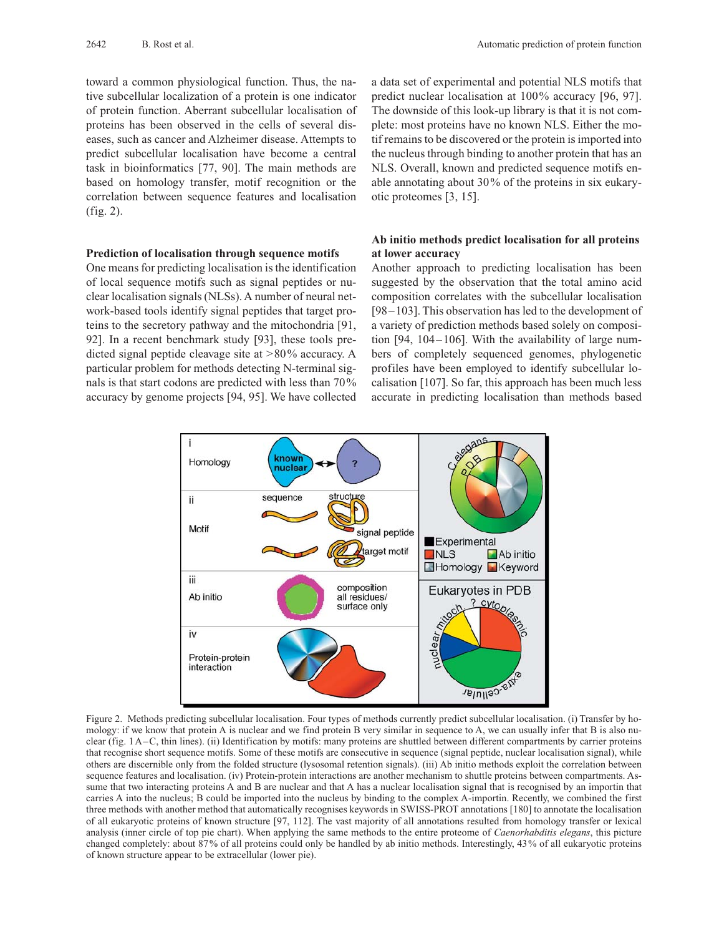toward a common physiological function. Thus, the native subcellular localization of a protein is one indicator of protein function. Aberrant subcellular localisation of proteins has been observed in the cells of several diseases, such as cancer and Alzheimer disease. Attempts to predict subcellular localisation have become a central task in bioinformatics [77, 90]. The main methods are based on homology transfer, motif recognition or the correlation between sequence features and localisation (fig. 2).

## **Prediction of localisation through sequence motifs**

One means for predicting localisation is the identification of local sequence motifs such as signal peptides or nuclear localisation signals (NLSs). A number of neural network-based tools identify signal peptides that target proteins to the secretory pathway and the mitochondria [91, 92]. In a recent benchmark study [93], these tools predicted signal peptide cleavage site at >80% accuracy. A particular problem for methods detecting N-terminal signals is that start codons are predicted with less than 70% accuracy by genome projects [94, 95]. We have collected a data set of experimental and potential NLS motifs that predict nuclear localisation at 100% accuracy [96, 97]. The downside of this look-up library is that it is not complete: most proteins have no known NLS. Either the motif remains to be discovered or the protein is imported into the nucleus through binding to another protein that has an NLS. Overall, known and predicted sequence motifs enable annotating about 30% of the proteins in six eukaryotic proteomes [3, 15].

# **Ab initio methods predict localisation for all proteins at lower accuracy**

Another approach to predicting localisation has been suggested by the observation that the total amino acid composition correlates with the subcellular localisation [98–103]. This observation has led to the development of a variety of prediction methods based solely on composition [94, 104–106]. With the availability of large numbers of completely sequenced genomes, phylogenetic profiles have been employed to identify subcellular localisation [107]. So far, this approach has been much less accurate in predicting localisation than methods based



Figure 2. Methods predicting subcellular localisation. Four types of methods currently predict subcellular localisation. (i) Transfer by homology: if we know that protein A is nuclear and we find protein B very similar in sequence to A, we can usually infer that B is also nuclear (fig. 1A–C, thin lines). (ii) Identification by motifs: many proteins are shuttled between different compartments by carrier proteins that recognise short sequence motifs. Some of these motifs are consecutive in sequence (signal peptide, nuclear localisation signal), while others are discernible only from the folded structure (lysosomal retention signals). (iii) Ab initio methods exploit the correlation between sequence features and localisation. (iv) Protein-protein interactions are another mechanism to shuttle proteins between compartments. Assume that two interacting proteins A and B are nuclear and that A has a nuclear localisation signal that is recognised by an importin that carries A into the nucleus; B could be imported into the nucleus by binding to the complex A-importin. Recently, we combined the first three methods with another method that automatically recognises keywords in SWISS-PROT annotations [180] to annotate the localisation of all eukaryotic proteins of known structure [97, 112]. The vast majority of all annotations resulted from homology transfer or lexical analysis (inner circle of top pie chart). When applying the same methods to the entire proteome of *Caenorhabditis elegans*, this picture changed completely: about 87% of all proteins could only be handled by ab initio methods. Interestingly, 43% of all eukaryotic proteins of known structure appear to be extracellular (lower pie).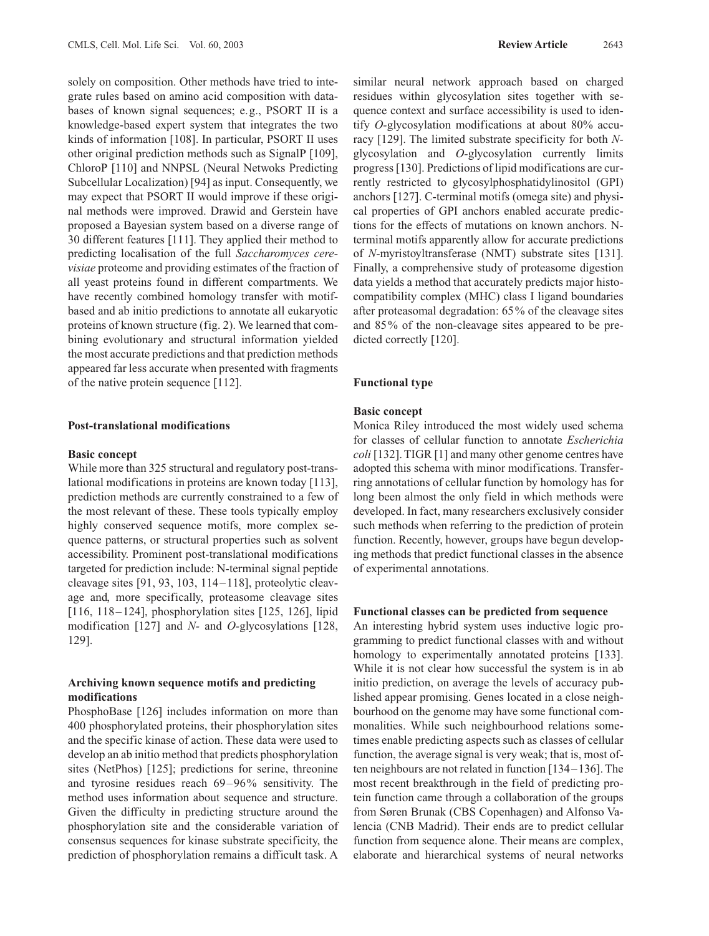solely on composition. Other methods have tried to integrate rules based on amino acid composition with databases of known signal sequences; e.g., PSORT II is a knowledge-based expert system that integrates the two kinds of information [108]. In particular, PSORT II uses other original prediction methods such as SignalP [109], ChloroP [110] and NNPSL (Neural Netwoks Predicting Subcellular Localization) [94] as input. Consequently, we may expect that PSORT II would improve if these original methods were improved. Drawid and Gerstein have proposed a Bayesian system based on a diverse range of 30 different features [111]. They applied their method to predicting localisation of the full *Saccharomyces cerevisiae* proteome and providing estimates of the fraction of all yeast proteins found in different compartments. We have recently combined homology transfer with motifbased and ab initio predictions to annotate all eukaryotic proteins of known structure (fig. 2). We learned that combining evolutionary and structural information yielded the most accurate predictions and that prediction methods appeared far less accurate when presented with fragments of the native protein sequence [112].

### **Post-translational modifications**

#### **Basic concept**

While more than 325 structural and regulatory post-translational modifications in proteins are known today [113], prediction methods are currently constrained to a few of the most relevant of these. These tools typically employ highly conserved sequence motifs, more complex sequence patterns, or structural properties such as solvent accessibility. Prominent post-translational modifications targeted for prediction include: N-terminal signal peptide cleavage sites [91, 93, 103, 114–118], proteolytic cleavage and, more specifically, proteasome cleavage sites [116, 118–124], phosphorylation sites [125, 126], lipid modification [127] and *N-* and *O-*glycosylations [128, 129].

# **Archiving known sequence motifs and predicting modifications**

PhosphoBase [126] includes information on more than 400 phosphorylated proteins, their phosphorylation sites and the specific kinase of action. These data were used to develop an ab initio method that predicts phosphorylation sites (NetPhos) [125]; predictions for serine, threonine and tyrosine residues reach 69–96% sensitivity. The method uses information about sequence and structure. Given the difficulty in predicting structure around the phosphorylation site and the considerable variation of consensus sequences for kinase substrate specificity, the prediction of phosphorylation remains a difficult task. A

similar neural network approach based on charged residues within glycosylation sites together with sequence context and surface accessibility is used to identify *O-*glycosylation modifications at about 80% accuracy [129]. The limited substrate specificity for both *N*glycosylation and *O-*glycosylation currently limits progress [130]. Predictions of lipid modifications are currently restricted to glycosylphosphatidylinositol (GPI) anchors [127]. C-terminal motifs (omega site) and physical properties of GPI anchors enabled accurate predictions for the effects of mutations on known anchors. Nterminal motifs apparently allow for accurate predictions of *N-*myristoyltransferase (NMT) substrate sites [131]. Finally, a comprehensive study of proteasome digestion data yields a method that accurately predicts major histocompatibility complex (MHC) class I ligand boundaries after proteasomal degradation: 65% of the cleavage sites and 85% of the non-cleavage sites appeared to be predicted correctly [120].

#### **Functional type**

#### **Basic concept**

Monica Riley introduced the most widely used schema for classes of cellular function to annotate *Escherichia coli* [132]. TIGR [1] and many other genome centres have adopted this schema with minor modifications. Transferring annotations of cellular function by homology has for long been almost the only field in which methods were developed. In fact, many researchers exclusively consider such methods when referring to the prediction of protein function. Recently, however, groups have begun developing methods that predict functional classes in the absence of experimental annotations.

## **Functional classes can be predicted from sequence**

An interesting hybrid system uses inductive logic programming to predict functional classes with and without homology to experimentally annotated proteins [133]. While it is not clear how successful the system is in ab initio prediction, on average the levels of accuracy published appear promising. Genes located in a close neighbourhood on the genome may have some functional commonalities. While such neighbourhood relations sometimes enable predicting aspects such as classes of cellular function, the average signal is very weak; that is, most often neighbours are not related in function [134–136]. The most recent breakthrough in the field of predicting protein function came through a collaboration of the groups from Søren Brunak (CBS Copenhagen) and Alfonso Valencia (CNB Madrid). Their ends are to predict cellular function from sequence alone. Their means are complex, elaborate and hierarchical systems of neural networks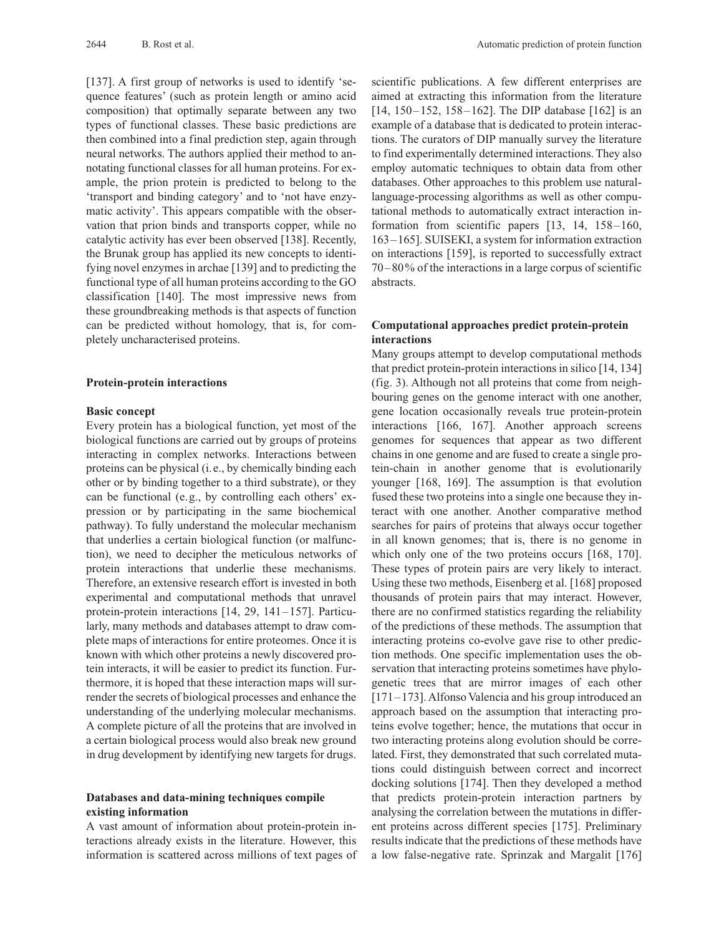[137]. A first group of networks is used to identify 'sequence features' (such as protein length or amino acid composition) that optimally separate between any two types of functional classes. These basic predictions are then combined into a final prediction step, again through neural networks. The authors applied their method to annotating functional classes for all human proteins. For example, the prion protein is predicted to belong to the 'transport and binding category' and to 'not have enzymatic activity'. This appears compatible with the observation that prion binds and transports copper, while no catalytic activity has ever been observed [138]. Recently, the Brunak group has applied its new concepts to identifying novel enzymes in archae [139] and to predicting the functional type of all human proteins according to the GO classification [140]. The most impressive news from these groundbreaking methods is that aspects of function can be predicted without homology, that is, for completely uncharacterised proteins.

#### **Protein-protein interactions**

#### **Basic concept**

Every protein has a biological function, yet most of the biological functions are carried out by groups of proteins interacting in complex networks. Interactions between proteins can be physical (i.e., by chemically binding each other or by binding together to a third substrate), or they can be functional (e.g., by controlling each others' expression or by participating in the same biochemical pathway). To fully understand the molecular mechanism that underlies a certain biological function (or malfunction), we need to decipher the meticulous networks of protein interactions that underlie these mechanisms. Therefore, an extensive research effort is invested in both experimental and computational methods that unravel protein-protein interactions [14, 29, 141–157]. Particularly, many methods and databases attempt to draw complete maps of interactions for entire proteomes. Once it is known with which other proteins a newly discovered protein interacts, it will be easier to predict its function. Furthermore, it is hoped that these interaction maps will surrender the secrets of biological processes and enhance the understanding of the underlying molecular mechanisms. A complete picture of all the proteins that are involved in a certain biological process would also break new ground in drug development by identifying new targets for drugs.

## **Databases and data-mining techniques compile existing information**

A vast amount of information about protein-protein interactions already exists in the literature. However, this information is scattered across millions of text pages of scientific publications. A few different enterprises are aimed at extracting this information from the literature [14, 150–152, 158–162]. The DIP database [162] is an example of a database that is dedicated to protein interactions. The curators of DIP manually survey the literature to find experimentally determined interactions. They also employ automatic techniques to obtain data from other databases. Other approaches to this problem use naturallanguage-processing algorithms as well as other computational methods to automatically extract interaction information from scientific papers [13, 14, 158–160, 163–165]. SUISEKI, a system for information extraction on interactions [159], is reported to successfully extract 70–80% of the interactions in a large corpus of scientific abstracts.

# **Computational approaches predict protein-protein interactions**

Many groups attempt to develop computational methods that predict protein-protein interactions in silico [14, 134] (fig. 3). Although not all proteins that come from neighbouring genes on the genome interact with one another, gene location occasionally reveals true protein-protein interactions [166, 167]. Another approach screens genomes for sequences that appear as two different chains in one genome and are fused to create a single protein-chain in another genome that is evolutionarily younger [168, 169]. The assumption is that evolution fused these two proteins into a single one because they interact with one another. Another comparative method searches for pairs of proteins that always occur together in all known genomes; that is, there is no genome in which only one of the two proteins occurs [168, 170]. These types of protein pairs are very likely to interact. Using these two methods, Eisenberg et al. [168] proposed thousands of protein pairs that may interact. However, there are no confirmed statistics regarding the reliability of the predictions of these methods. The assumption that interacting proteins co-evolve gave rise to other prediction methods. One specific implementation uses the observation that interacting proteins sometimes have phylogenetic trees that are mirror images of each other [171–173]. Alfonso Valencia and his group introduced an approach based on the assumption that interacting proteins evolve together; hence, the mutations that occur in two interacting proteins along evolution should be correlated. First, they demonstrated that such correlated mutations could distinguish between correct and incorrect docking solutions [174]. Then they developed a method that predicts protein-protein interaction partners by analysing the correlation between the mutations in different proteins across different species [175]. Preliminary results indicate that the predictions of these methods have a low false-negative rate. Sprinzak and Margalit [176]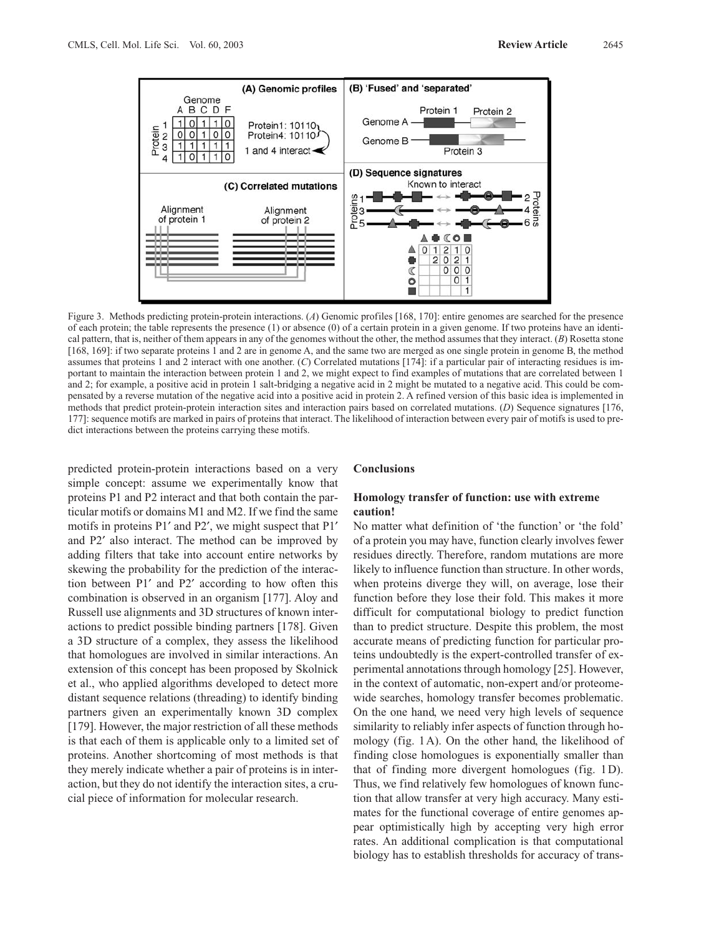

Figure 3. Methods predicting protein-protein interactions. (*A*) Genomic profiles [168, 170]: entire genomes are searched for the presence of each protein; the table represents the presence (1) or absence (0) of a certain protein in a given genome. If two proteins have an identical pattern, that is, neither of them appears in any of the genomes without the other, the method assumes that they interact. (*B*) Rosetta stone [168, 169]: if two separate proteins 1 and 2 are in genome A, and the same two are merged as one single protein in genome B, the method assumes that proteins 1 and 2 interact with one another. (*C*) Correlated mutations [174]: if a particular pair of interacting residues is important to maintain the interaction between protein 1 and 2, we might expect to find examples of mutations that are correlated between 1 and 2; for example, a positive acid in protein 1 salt-bridging a negative acid in 2 might be mutated to a negative acid. This could be compensated by a reverse mutation of the negative acid into a positive acid in protein 2. A refined version of this basic idea is implemented in methods that predict protein-protein interaction sites and interaction pairs based on correlated mutations. (*D*) Sequence signatures [176, 177]: sequence motifs are marked in pairs of proteins that interact. The likelihood of interaction between every pair of motifs is used to predict interactions between the proteins carrying these motifs.

predicted protein-protein interactions based on a very simple concept: assume we experimentally know that proteins P1 and P2 interact and that both contain the particular motifs or domains M1 and M2. If we find the same motifs in proteins  $P1'$  and  $P2'$ , we might suspect that  $P1'$ and P2<sup> $\prime$ </sup> also interact. The method can be improved by adding filters that take into account entire networks by skewing the probability for the prediction of the interaction between P1¢ and P2¢ according to how often this combination is observed in an organism [177]. Aloy and Russell use alignments and 3D structures of known interactions to predict possible binding partners [178]. Given a 3D structure of a complex, they assess the likelihood that homologues are involved in similar interactions. An extension of this concept has been proposed by Skolnick et al., who applied algorithms developed to detect more distant sequence relations (threading) to identify binding partners given an experimentally known 3D complex [179]. However, the major restriction of all these methods is that each of them is applicable only to a limited set of proteins. Another shortcoming of most methods is that they merely indicate whether a pair of proteins is in interaction, but they do not identify the interaction sites, a crucial piece of information for molecular research.

#### **Conclusions**

## **Homology transfer of function: use with extreme caution!**

No matter what definition of 'the function' or 'the fold' of a protein you may have, function clearly involves fewer residues directly. Therefore, random mutations are more likely to influence function than structure. In other words, when proteins diverge they will, on average, lose their function before they lose their fold. This makes it more difficult for computational biology to predict function than to predict structure. Despite this problem, the most accurate means of predicting function for particular proteins undoubtedly is the expert-controlled transfer of experimental annotations through homology [25]. However, in the context of automatic, non-expert and/or proteomewide searches, homology transfer becomes problematic. On the one hand, we need very high levels of sequence similarity to reliably infer aspects of function through homology (fig. 1A). On the other hand, the likelihood of finding close homologues is exponentially smaller than that of finding more divergent homologues (fig. 1D). Thus, we find relatively few homologues of known function that allow transfer at very high accuracy. Many estimates for the functional coverage of entire genomes appear optimistically high by accepting very high error rates. An additional complication is that computational biology has to establish thresholds for accuracy of trans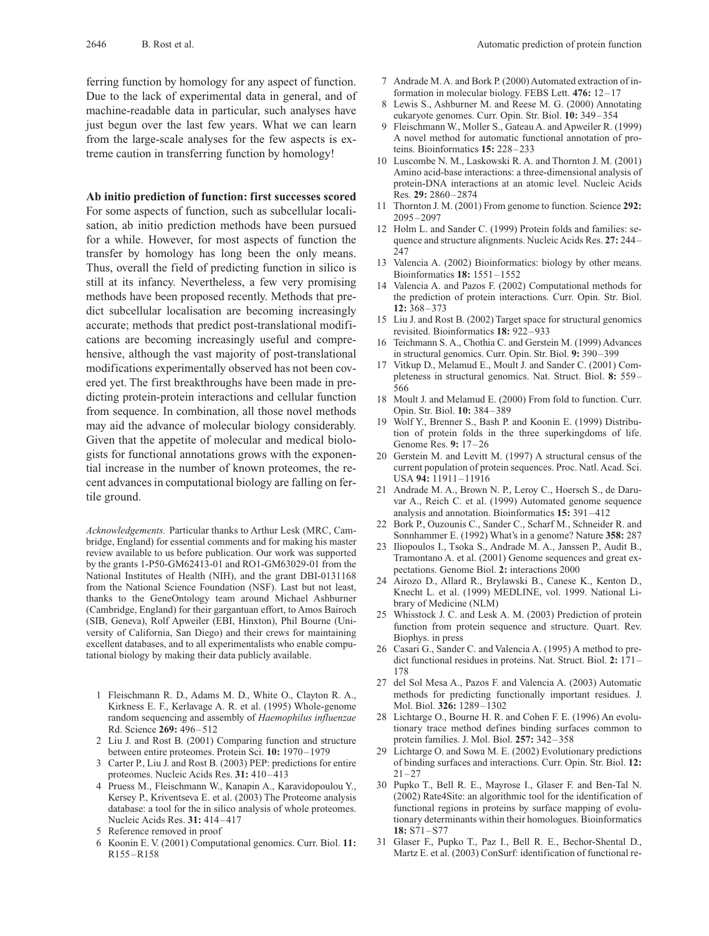ferring function by homology for any aspect of function. Due to the lack of experimental data in general, and of machine-readable data in particular, such analyses have just begun over the last few years. What we can learn from the large-scale analyses for the few aspects is extreme caution in transferring function by homology!

## **Ab initio prediction of function: first successes scored**

For some aspects of function, such as subcellular localisation, ab initio prediction methods have been pursued for a while. However, for most aspects of function the transfer by homology has long been the only means. Thus, overall the field of predicting function in silico is still at its infancy. Nevertheless, a few very promising methods have been proposed recently. Methods that predict subcellular localisation are becoming increasingly accurate; methods that predict post-translational modifications are becoming increasingly useful and comprehensive, although the vast majority of post-translational modifications experimentally observed has not been covered yet. The first breakthroughs have been made in predicting protein-protein interactions and cellular function from sequence. In combination, all those novel methods may aid the advance of molecular biology considerably. Given that the appetite of molecular and medical biologists for functional annotations grows with the exponential increase in the number of known proteomes, the recent advances in computational biology are falling on fertile ground.

*Acknowledgements.* Particular thanks to Arthur Lesk (MRC, Cambridge, England) for essential comments and for making his master review available to us before publication. Our work was supported by the grants 1-P50-GM62413-01 and RO1-GM63029-01 from the National Institutes of Health (NIH), and the grant DBI-0131168 from the National Science Foundation (NSF). Last but not least, thanks to the GeneOntology team around Michael Ashburner (Cambridge, England) for their gargantuan effort, to Amos Bairoch (SIB, Geneva), Rolf Apweiler (EBI, Hinxton), Phil Bourne (University of California, San Diego) and their crews for maintaining excellent databases, and to all experimentalists who enable computational biology by making their data publicly available.

- 1 Fleischmann R. D., Adams M. D., White O., Clayton R. A., Kirkness E. F., Kerlavage A. R. et al. (1995) Whole-genome random sequencing and assembly of *Haemophilus influenzae* Rd. Science **269:** 496–512
- 2 Liu J. and Rost B. (2001) Comparing function and structure between entire proteomes. Protein Sci. **10:** 1970–1979
- 3 Carter P., Liu J. and Rost B. (2003) PEP: predictions for entire proteomes. Nucleic Acids Res. **31:** 410–413
- 4 Pruess M., Fleischmann W., Kanapin A., Karavidopoulou Y., Kersey P., Kriventseva E. et al. (2003) The Proteome analysis database: a tool for the in silico analysis of whole proteomes. Nucleic Acids Res. **31:** 414–417
- 5 Reference removed in proof
- 6 Koonin E. V. (2001) Computational genomics. Curr. Biol. **11:** R155–R158
- 7 Andrade M. A. and Bork P. (2000) Automated extraction of information in molecular biology. FEBS Lett. **476:** 12–17
- Lewis S., Ashburner M. and Reese M. G. (2000) Annotating eukaryote genomes. Curr. Opin. Str. Biol. **10:** 349–354
- 9 Fleischmann W., Moller S., Gateau A. and Apweiler R. (1999) A novel method for automatic functional annotation of proteins. Bioinformatics **15:** 228–233
- 10 Luscombe N. M., Laskowski R. A. and Thornton J. M. (2001) Amino acid-base interactions: a three-dimensional analysis of protein-DNA interactions at an atomic level. Nucleic Acids Res. **29:** 2860–2874
- 11 Thornton J. M. (2001) From genome to function. Science **292:** 2095–2097
- 12 Holm L. and Sander C. (1999) Protein folds and families: sequence and structure alignments. Nucleic Acids Res. **27:** 244– 247
- 13 Valencia A. (2002) Bioinformatics: biology by other means. Bioinformatics **18:** 1551–1552
- 14 Valencia A. and Pazos F. (2002) Computational methods for the prediction of protein interactions. Curr. Opin. Str. Biol. **12:** 368–373
- 15 Liu J. and Rost B. (2002) Target space for structural genomics revisited. Bioinformatics **18:** 922–933
- 16 Teichmann S. A., Chothia C. and Gerstein M. (1999) Advances in structural genomics. Curr. Opin. Str. Biol. **9:** 390–399
- 17 Vitkup D., Melamud E., Moult J. and Sander C. (2001) Completeness in structural genomics. Nat. Struct. Biol. **8:** 559– 566
- 18 Moult J. and Melamud E. (2000) From fold to function. Curr. Opin. Str. Biol. **10:** 384–389
- 19 Wolf Y., Brenner S., Bash P. and Koonin E. (1999) Distribution of protein folds in the three superkingdoms of life. Genome Res. **9:** 17–26
- 20 Gerstein M. and Levitt M. (1997) A structural census of the current population of protein sequences. Proc. Natl. Acad. Sci. USA **94:** 11911–11916
- 21 Andrade M. A., Brown N. P., Leroy C., Hoersch S., de Daruvar A., Reich C. et al. (1999) Automated genome sequence analysis and annotation. Bioinformatics **15:** 391–412
- 22 Bork P., Ouzounis C., Sander C., Scharf M., Schneider R. and Sonnhammer E. (1992) What's in a genome? Nature **358:** 287
- 23 Iliopoulos I., Tsoka S., Andrade M. A., Janssen P., Audit B., Tramontano A. et al. (2001) Genome sequences and great expectations. Genome Biol. **2:** interactions 2000
- 24 Airozo D., Allard R., Brylawski B., Canese K., Kenton D., Knecht L. et al. (1999) MEDLINE, vol. 1999. National Library of Medicine (NLM)
- 25 Whisstock J. C. and Lesk A. M. (2003) Prediction of protein function from protein sequence and structure. Quart. Rev. Biophys. in press
- 26 Casari G., Sander C. and Valencia A. (1995) A method to predict functional residues in proteins. Nat. Struct. Biol. **2:** 171– 178
- 27 del Sol Mesa A., Pazos F. and Valencia A. (2003) Automatic methods for predicting functionally important residues. J. Mol. Biol. **326:** 1289–1302
- 28 Lichtarge O., Bourne H. R. and Cohen F. E. (1996) An evolutionary trace method defines binding surfaces common to protein families. J. Mol. Biol. **257:** 342–358
- 29 Lichtarge O. and Sowa M. E. (2002) Evolutionary predictions of binding surfaces and interactions. Curr. Opin. Str. Biol. **12:**  $21 - 27$
- 30 Pupko T., Bell R. E., Mayrose I., Glaser F. and Ben-Tal N. (2002) Rate4Site: an algorithmic tool for the identification of functional regions in proteins by surface mapping of evolutionary determinants within their homologues. Bioinformatics **18:** S71–S77
- 31 Glaser F., Pupko T., Paz I., Bell R. E., Bechor-Shental D., Martz E. et al. (2003) ConSurf: identification of functional re-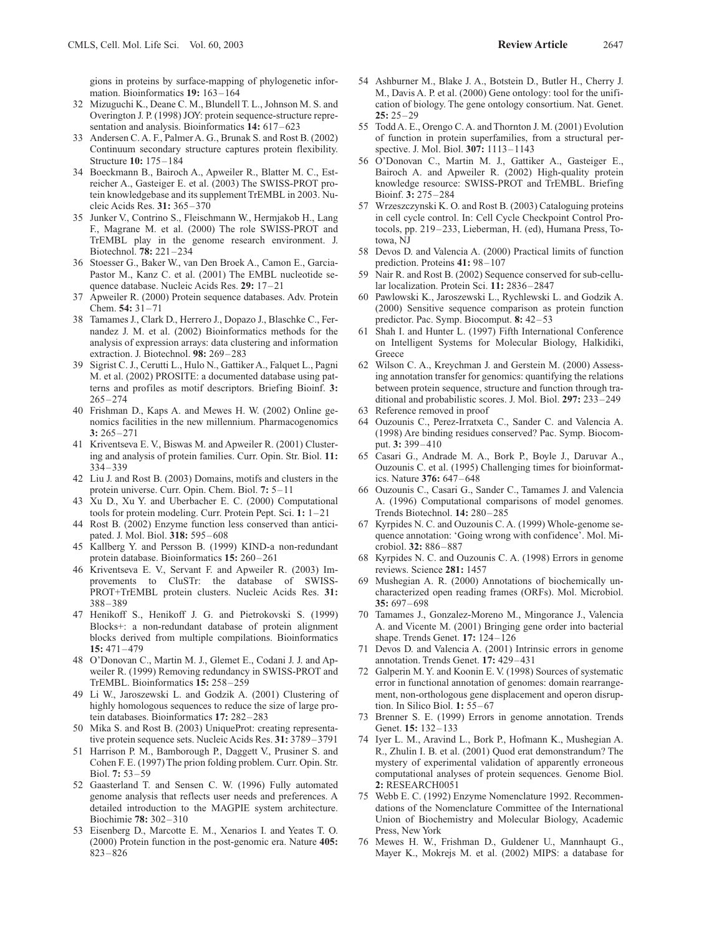gions in proteins by surface-mapping of phylogenetic information. Bioinformatics **19:** 163–164

- 32 Mizuguchi K., Deane C. M., Blundell T. L., Johnson M. S. and Overington J. P. (1998) JOY: protein sequence-structure representation and analysis. Bioinformatics **14:** 617–623
- 33 Andersen C. A. F., Palmer A. G., Brunak S. and Rost B. (2002) Continuum secondary structure captures protein flexibility. Structure **10:** 175–184
- 34 Boeckmann B., Bairoch A., Apweiler R., Blatter M. C., Estreicher A., Gasteiger E. et al. (2003) The SWISS-PROT protein knowledgebase and its supplement TrEMBL in 2003. Nucleic Acids Res. **31:** 365–370
- 35 Junker V., Contrino S., Fleischmann W., Hermjakob H., Lang F., Magrane M. et al. (2000) The role SWISS-PROT and TrEMBL play in the genome research environment. J. Biotechnol. **78:** 221–234
- 36 Stoesser G., Baker W., van Den Broek A., Camon E., Garcia-Pastor M., Kanz C. et al. (2001) The EMBL nucleotide sequence database. Nucleic Acids Res. **29:** 17–21
- 37 Apweiler R. (2000) Protein sequence databases. Adv. Protein Chem. **54:** 31–71
- 38 Tamames J., Clark D., Herrero J., Dopazo J., Blaschke C., Fernandez J. M. et al. (2002) Bioinformatics methods for the analysis of expression arrays: data clustering and information extraction. J. Biotechnol. **98:** 269–283
- 39 Sigrist C. J., Cerutti L., Hulo N., Gattiker A., Falquet L., Pagni M. et al. (2002) PROSITE: a documented database using patterns and profiles as motif descriptors. Briefing Bioinf. **3:** 265–274
- 40 Frishman D., Kaps A. and Mewes H. W. (2002) Online genomics facilities in the new millennium. Pharmacogenomics **3:** 265–271
- 41 Kriventseva E. V., Biswas M. and Apweiler R. (2001) Clustering and analysis of protein families. Curr. Opin. Str. Biol. **11:** 334–339
- 42 Liu J. and Rost B. (2003) Domains, motifs and clusters in the protein universe. Curr. Opin. Chem. Biol. **7:** 5–11
- 43 Xu D., Xu Y. and Uberbacher E. C. (2000) Computational tools for protein modeling. Curr. Protein Pept. Sci. **1:** 1–21
- 44 Rost B. (2002) Enzyme function less conserved than anticipated. J. Mol. Biol. **318:** 595–608
- 45 Kallberg Y. and Persson B. (1999) KIND-a non-redundant protein database. Bioinformatics **15:** 260–261
- 46 Kriventseva E. V., Servant F. and Apweiler R. (2003) Improvements to CluSTr: the database of SWISS-PROT+TrEMBL protein clusters. Nucleic Acids Res. **31:** 388–389
- 47 Henikoff S., Henikoff J. G. and Pietrokovski S. (1999) Blocks+: a non-redundant database of protein alignment blocks derived from multiple compilations. Bioinformatics **15:** 471–479
- 48 O'Donovan C., Martin M. J., Glemet E., Codani J. J. and Apweiler R. (1999) Removing redundancy in SWISS-PROT and TrEMBL. Bioinformatics **15:** 258–259
- 49 Li W., Jaroszewski L. and Godzik A. (2001) Clustering of highly homologous sequences to reduce the size of large protein databases. Bioinformatics **17:** 282–283
- 50 Mika S. and Rost B. (2003) UniqueProt: creating representative protein sequence sets. Nucleic Acids Res. **31:** 3789–3791
- 51 Harrison P. M., Bamborough P., Daggett V., Prusiner S. and Cohen F. E. (1997) The prion folding problem. Curr. Opin. Str. Biol. **7:** 53–59
- 52 Gaasterland T. and Sensen C. W. (1996) Fully automated genome analysis that reflects user needs and preferences. A detailed introduction to the MAGPIE system architecture. Biochimie **78:** 302–310
- 53 Eisenberg D., Marcotte E. M., Xenarios I. and Yeates T. O. (2000) Protein function in the post-genomic era. Nature **405:** 823–826
- 54 Ashburner M., Blake J. A., Botstein D., Butler H., Cherry J. M., Davis A. P. et al. (2000) Gene ontology: tool for the unification of biology. The gene ontology consortium. Nat. Genet. **25:** 25–29
- 55 Todd A. E., Orengo C. A. and Thornton J. M. (2001) Evolution of function in protein superfamilies, from a structural perspective. J. Mol. Biol. **307:** 1113–1143
- 56 O'Donovan C., Martin M. J., Gattiker A., Gasteiger E., Bairoch A. and Apweiler R. (2002) High-quality protein knowledge resource: SWISS-PROT and TrEMBL. Briefing Bioinf. **3:** 275–284
- 57 Wrzeszczynski K. O. and Rost B. (2003) Cataloguing proteins in cell cycle control. In: Cell Cycle Checkpoint Control Protocols, pp. 219–233, Lieberman, H. (ed), Humana Press, Totowa, NJ
- 58 Devos D. and Valencia A. (2000) Practical limits of function prediction. Proteins **41:** 98–107
- 59 Nair R. and Rost B. (2002) Sequence conserved for sub-cellular localization. Protein Sci. **11:** 2836–2847
- 60 Pawlowski K., Jaroszewski L., Rychlewski L. and Godzik A. (2000) Sensitive sequence comparison as protein function predictor. Pac. Symp. Biocomput. **8:** 42–53
- 61 Shah I. and Hunter L. (1997) Fifth International Conference on Intelligent Systems for Molecular Biology, Halkidiki, Greece
- 62 Wilson C. A., Kreychman J. and Gerstein M. (2000) Assessing annotation transfer for genomics: quantifying the relations between protein sequence, structure and function through traditional and probabilistic scores. J. Mol. Biol. **297:** 233–249
- 63 Reference removed in proof
- 64 Ouzounis C., Perez-Irratxeta C., Sander C. and Valencia A. (1998) Are binding residues conserved? Pac. Symp. Biocomput. **3:** 399–410
- 65 Casari G., Andrade M. A., Bork P., Boyle J., Daruvar A., Ouzounis C. et al. (1995) Challenging times for bioinformatics. Nature **376:** 647–648
- 66 Ouzounis C., Casari G., Sander C., Tamames J. and Valencia A. (1996) Computational comparisons of model genomes. Trends Biotechnol. **14:** 280–285
- 67 Kyrpides N. C. and Ouzounis C. A. (1999) Whole-genome sequence annotation: 'Going wrong with confidence'. Mol. Microbiol. **32:** 886–887
- 68 Kyrpides N. C. and Ouzounis C. A. (1998) Errors in genome reviews. Science **281:** 1457
- 69 Mushegian A. R. (2000) Annotations of biochemically uncharacterized open reading frames (ORFs). Mol. Microbiol. **35:** 697–698
- 70 Tamames J., Gonzalez-Moreno M., Mingorance J., Valencia A. and Vicente M. (2001) Bringing gene order into bacterial shape. Trends Genet. **17:** 124–126
- 71 Devos D. and Valencia A. (2001) Intrinsic errors in genome annotation. Trends Genet. **17:** 429–431
- 72 Galperin M. Y. and Koonin E. V. (1998) Sources of systematic error in functional annotation of genomes: domain rearrangement, non-orthologous gene displacement and operon disruption. In Silico Biol. **1:** 55–67
- 73 Brenner S. E. (1999) Errors in genome annotation. Trends Genet. **15:** 132–133
- 74 Iyer L. M., Aravind L., Bork P., Hofmann K., Mushegian A. R., Zhulin I. B. et al. (2001) Quod erat demonstrandum? The mystery of experimental validation of apparently erroneous computational analyses of protein sequences. Genome Biol. **2:** RESEARCH0051
- 75 Webb E. C. (1992) Enzyme Nomenclature 1992. Recommendations of the Nomenclature Committee of the International Union of Biochemistry and Molecular Biology, Academic Press, New York
- 76 Mewes H. W., Frishman D., Guldener U., Mannhaupt G., Mayer K., Mokrejs M. et al. (2002) MIPS: a database for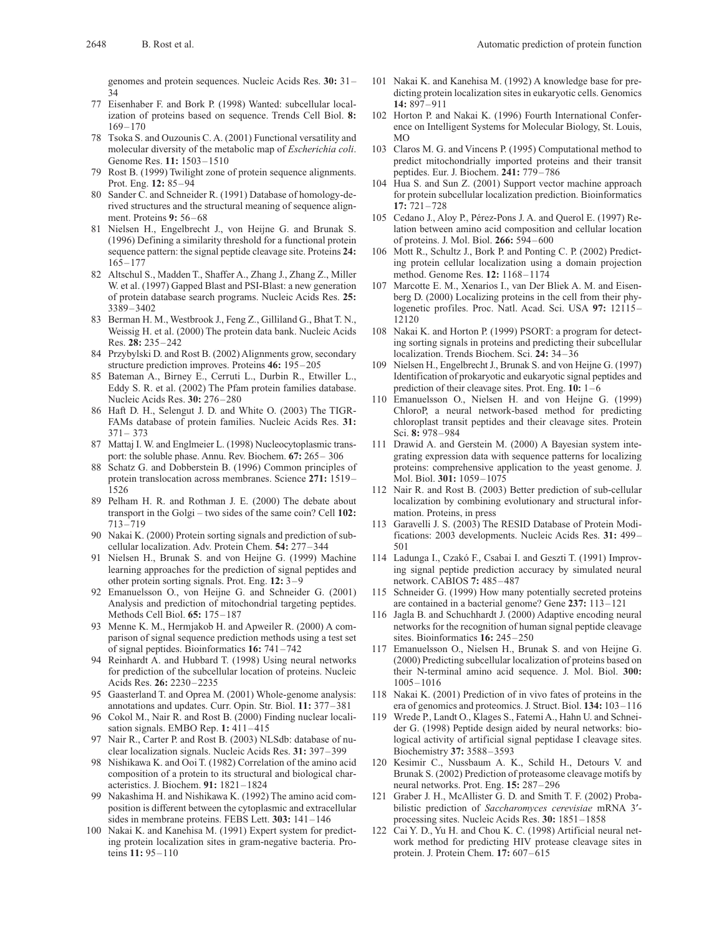genomes and protein sequences. Nucleic Acids Res. **30:** 31– 34

- 77 Eisenhaber F. and Bork P. (1998) Wanted: subcellular localization of proteins based on sequence. Trends Cell Biol. **8:** 169–170
- 78 Tsoka S. and Ouzounis C. A. (2001) Functional versatility and molecular diversity of the metabolic map of *Escherichia coli*. Genome Res. **11:** 1503–1510
- 79 Rost B. (1999) Twilight zone of protein sequence alignments. Prot. Eng. **12:** 85–94
- 80 Sander C. and Schneider R. (1991) Database of homology-derived structures and the structural meaning of sequence alignment. Proteins **9:** 56–68
- 81 Nielsen H., Engelbrecht J., von Heijne G. and Brunak S. (1996) Defining a similarity threshold for a functional protein sequence pattern: the signal peptide cleavage site. Proteins **24:** 165–177
- 82 Altschul S., Madden T., Shaffer A., Zhang J., Zhang Z., Miller W. et al. (1997) Gapped Blast and PSI-Blast: a new generation of protein database search programs. Nucleic Acids Res. **25:** 3389–3402
- 83 Berman H. M., Westbrook J., Feng Z., Gilliland G., Bhat T. N., Weissig H. et al. (2000) The protein data bank. Nucleic Acids Res. **28:** 235–242
- 84 Przybylski D. and Rost B. (2002) Alignments grow, secondary structure prediction improves. Proteins **46:** 195–205
- 85 Bateman A., Birney E., Cerruti L., Durbin R., Etwiller L., Eddy S. R. et al. (2002) The Pfam protein families database. Nucleic Acids Res. **30:** 276–280
- 86 Haft D. H., Selengut J. D. and White O. (2003) The TIGR-FAMs database of protein families. Nucleic Acids Res. **31:** 371– 373
- 87 Mattaj I. W. and Englmeier L. (1998) Nucleocytoplasmic transport: the soluble phase. Annu. Rev. Biochem. **67:** 265– 306
- Schatz G. and Dobberstein B. (1996) Common principles of protein translocation across membranes. Science **271:** 1519– 1526
- 89 Pelham H. R. and Rothman J. E. (2000) The debate about transport in the Golgi – two sides of the same coin? Cell **102:** 713–719
- 90 Nakai K. (2000) Protein sorting signals and prediction of subcellular localization. Adv. Protein Chem. **54:** 277–344
- 91 Nielsen H., Brunak S. and von Heijne G. (1999) Machine learning approaches for the prediction of signal peptides and other protein sorting signals. Prot. Eng. **12:** 3–9
- 92 Emanuelsson O., von Heijne G. and Schneider G. (2001) Analysis and prediction of mitochondrial targeting peptides. Methods Cell Biol. **65:** 175–187
- 93 Menne K. M., Hermjakob H. and Apweiler R. (2000) A comparison of signal sequence prediction methods using a test set of signal peptides. Bioinformatics **16:** 741–742
- 94 Reinhardt A. and Hubbard T. (1998) Using neural networks for prediction of the subcellular location of proteins. Nucleic Acids Res. **26:** 2230–2235
- 95 Gaasterland T. and Oprea M. (2001) Whole-genome analysis: annotations and updates. Curr. Opin. Str. Biol. **11:** 377–381
- Cokol M., Nair R. and Rost B. (2000) Finding nuclear localisation signals. EMBO Rep. **1:** 411–415
- 97 Nair R., Carter P. and Rost B. (2003) NLSdb: database of nuclear localization signals. Nucleic Acids Res. **31:** 397–399
- 98 Nishikawa K. and Ooi T. (1982) Correlation of the amino acid composition of a protein to its structural and biological characteristics. J. Biochem. **91:** 1821–1824
- 99 Nakashima H. and Nishikawa K. (1992) The amino acid composition is different between the cytoplasmic and extracellular sides in membrane proteins. FEBS Lett. **303:** 141–146
- 100 Nakai K. and Kanehisa M. (1991) Expert system for predicting protein localization sites in gram-negative bacteria. Proteins **11:** 95–110
- 101 Nakai K. and Kanehisa M. (1992) A knowledge base for predicting protein localization sites in eukaryotic cells. Genomics **14:** 897–911
- 102 Horton P. and Nakai K. (1996) Fourth International Conference on Intelligent Systems for Molecular Biology, St. Louis,  $MO$
- 103 Claros M. G. and Vincens P. (1995) Computational method to predict mitochondrially imported proteins and their transit peptides. Eur. J. Biochem. **241:** 779–786
- 104 Hua S. and Sun Z. (2001) Support vector machine approach for protein subcellular localization prediction. Bioinformatics **17:** 721–728
- 105 Cedano J., Aloy P., Pérez-Pons J. A. and Querol E. (1997) Relation between amino acid composition and cellular location of proteins. J. Mol. Biol. **266:** 594–600
- 106 Mott R., Schultz J., Bork P. and Ponting C. P. (2002) Predicting protein cellular localization using a domain projection method. Genome Res. **12:** 1168–1174
- 107 Marcotte E. M., Xenarios I., van Der Bliek A. M. and Eisenberg D. (2000) Localizing proteins in the cell from their phylogenetic profiles. Proc. Natl. Acad. Sci. USA **97:** 12115– 12120
- 108 Nakai K. and Horton P. (1999) PSORT: a program for detecting sorting signals in proteins and predicting their subcellular localization. Trends Biochem. Sci. **24:** 34–36
- Nielsen H., Engelbrecht J., Brunak S. and von Heijne G. (1997) Identification of prokaryotic and eukaryotic signal peptides and prediction of their cleavage sites. Prot. Eng. **10:** 1–6
- 110 Emanuelsson O., Nielsen H. and von Heijne G. (1999) ChloroP, a neural network-based method for predicting chloroplast transit peptides and their cleavage sites. Protein Sci. **8:** 978–984
- 111 Drawid A. and Gerstein M. (2000) A Bayesian system integrating expression data with sequence patterns for localizing proteins: comprehensive application to the yeast genome. J. Mol. Biol. **301:** 1059–1075
- 112 Nair R. and Rost B. (2003) Better prediction of sub-cellular localization by combining evolutionary and structural information. Proteins, in press
- 113 Garavelli J. S. (2003) The RESID Database of Protein Modifications: 2003 developments. Nucleic Acids Res. **31:** 499– 501
- 114 Ladunga I., Czakó F., Csabai I. and Geszti T. (1991) Improving signal peptide prediction accuracy by simulated neural network. CABIOS **7:** 485–487
- 115 Schneider G. (1999) How many potentially secreted proteins are contained in a bacterial genome? Gene **237:** 113–121
- 116 Jagla B. and Schuchhardt J. (2000) Adaptive encoding neural networks for the recognition of human signal peptide cleavage sites. Bioinformatics **16:** 245–250
- 117 Emanuelsson O., Nielsen H., Brunak S. and von Heijne G. (2000) Predicting subcellular localization of proteins based on their N-terminal amino acid sequence. J. Mol. Biol. **300:** 1005–1016
- 118 Nakai K. (2001) Prediction of in vivo fates of proteins in the era of genomics and proteomics. J. Struct. Biol. **134:** 103–116
- Wrede P., Landt O., Klages S., Fatemi A., Hahn U. and Schneider G. (1998) Peptide design aided by neural networks: biological activity of artificial signal peptidase I cleavage sites. Biochemistry **37:** 3588–3593
- 120 Kesimir C., Nussbaum A. K., Schild H., Detours V. and Brunak S. (2002) Prediction of proteasome cleavage motifs by neural networks. Prot. Eng. **15:** 287–296
- 121 Graber J. H., McAllister G. D. and Smith T. F. (2002) Probabilistic prediction of *Saccharomyces cerevisiae* mRNA 3¢ processing sites. Nucleic Acids Res. **30:** 1851–1858
- 122 Cai Y. D., Yu H. and Chou K. C. (1998) Artificial neural network method for predicting HIV protease cleavage sites in protein. J. Protein Chem. **17:** 607–615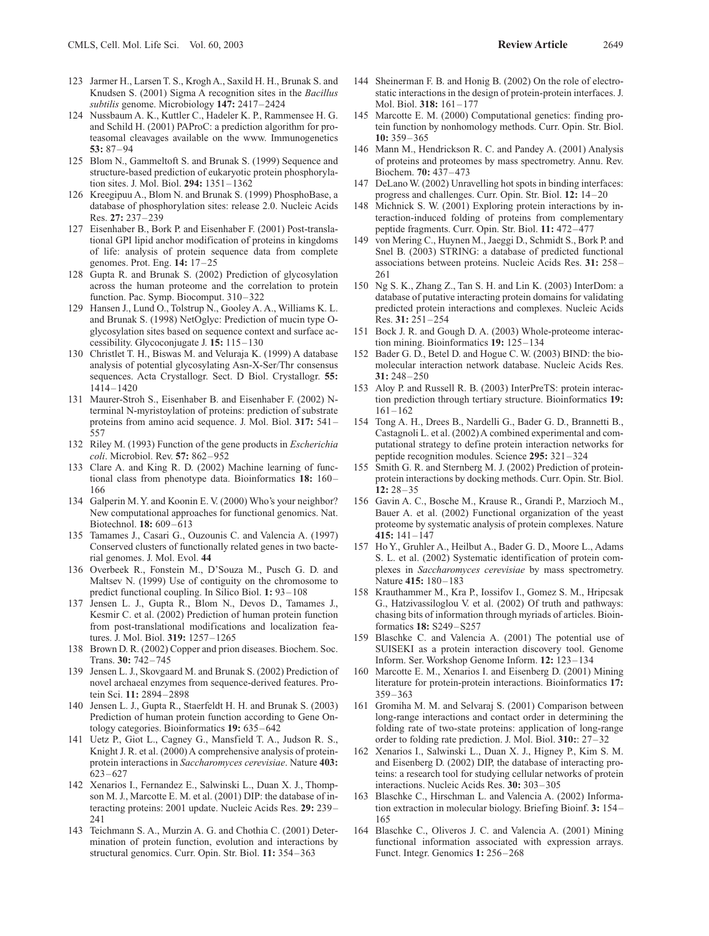- 124 Nussbaum A. K., Kuttler C., Hadeler K. P., Rammensee H. G. and Schild H. (2001) PAProC: a prediction algorithm for proteasomal cleavages available on the www. Immunogenetics **53:** 87–94
- 125 Blom N., Gammeltoft S. and Brunak S. (1999) Sequence and structure-based prediction of eukaryotic protein phosphorylation sites. J. Mol. Biol. **294:** 1351–1362
- 126 Kreegipuu A., Blom N. and Brunak S. (1999) PhosphoBase, a database of phosphorylation sites: release 2.0. Nucleic Acids Res. **27:** 237–239
- 127 Eisenhaber B., Bork P. and Eisenhaber F. (2001) Post-translational GPI lipid anchor modification of proteins in kingdoms of life: analysis of protein sequence data from complete genomes. Prot. Eng. **14:** 17–25
- 128 Gupta R. and Brunak S. (2002) Prediction of glycosylation across the human proteome and the correlation to protein function. Pac. Symp. Biocomput. 310–322
- 129 Hansen J., Lund O., Tolstrup N., Gooley A. A., Williams K. L. and Brunak S. (1998) NetOglyc: Prediction of mucin type Oglycosylation sites based on sequence context and surface accessibility. Glycoconjugate J. **15:** 115–130
- 130 Christlet T. H., Biswas M. and Veluraja K. (1999) A database analysis of potential glycosylating Asn-X-Ser/Thr consensus sequences. Acta Crystallogr. Sect. D Biol. Crystallogr. **55:** 1414–1420
- 131 Maurer-Stroh S., Eisenhaber B. and Eisenhaber F. (2002) Nterminal N-myristoylation of proteins: prediction of substrate proteins from amino acid sequence. J. Mol. Biol. **317:** 541– 557
- 132 Riley M. (1993) Function of the gene products in *Escherichia coli*. Microbiol. Rev. **57:** 862–952
- 133 Clare A. and King R. D. (2002) Machine learning of functional class from phenotype data. Bioinformatics **18:** 160– 166
- 134 Galperin M. Y. and Koonin E. V. (2000) Who's your neighbor? New computational approaches for functional genomics. Nat. Biotechnol. **18:** 609–613
- 135 Tamames J., Casari G., Ouzounis C. and Valencia A. (1997) Conserved clusters of functionally related genes in two bacterial genomes. J. Mol. Evol. **44**
- 136 Overbeek R., Fonstein M., D'Souza M., Pusch G. D. and Maltsev N. (1999) Use of contiguity on the chromosome to predict functional coupling. In Silico Biol. **1:** 93–108
- 137 Jensen L. J., Gupta R., Blom N., Devos D., Tamames J., Kesmir C. et al. (2002) Prediction of human protein function from post-translational modifications and localization features. J. Mol. Biol. **319:** 1257–1265
- 138 Brown D. R. (2002) Copper and prion diseases. Biochem. Soc. Trans. **30:** 742–745
- 139 Jensen L. J., Skovgaard M. and Brunak S. (2002) Prediction of novel archaeal enzymes from sequence-derived features. Protein Sci. **11:** 2894–2898
- 140 Jensen L. J., Gupta R., Staerfeldt H. H. and Brunak S. (2003) Prediction of human protein function according to Gene Ontology categories. Bioinformatics **19:** 635–642
- 141 Uetz P., Giot L., Cagney G., Mansfield T. A., Judson R. S., Knight J. R. et al. (2000) A comprehensive analysis of proteinprotein interactions in *Saccharomyces cerevisiae*. Nature **403:** 623–627
- 142 Xenarios I., Fernandez E., Salwinski L., Duan X. J., Thompson M. J., Marcotte E. M. et al. (2001) DIP: the database of interacting proteins: 2001 update. Nucleic Acids Res. **29:** 239– 241
- 143 Teichmann S. A., Murzin A. G. and Chothia C. (2001) Determination of protein function, evolution and interactions by structural genomics. Curr. Opin. Str. Biol. **11:** 354–363
- 144 Sheinerman F. B. and Honig B. (2002) On the role of electrostatic interactions in the design of protein-protein interfaces. J. Mol. Biol. **318:** 161–177
- 145 Marcotte E. M. (2000) Computational genetics: finding protein function by nonhomology methods. Curr. Opin. Str. Biol. **10:** 359–365
- 146 Mann M., Hendrickson R. C. and Pandey A. (2001) Analysis of proteins and proteomes by mass spectrometry. Annu. Rev. Biochem. **70:** 437–473
- 147 DeLano W. (2002) Unravelling hot spots in binding interfaces: progress and challenges. Curr. Opin. Str. Biol. **12:** 14–20
- 148 Michnick S. W. (2001) Exploring protein interactions by interaction-induced folding of proteins from complementary peptide fragments. Curr. Opin. Str. Biol. **11:** 472–477
- 149 von Mering C., Huynen M., Jaeggi D., Schmidt S., Bork P. and Snel B. (2003) STRING: a database of predicted functional associations between proteins. Nucleic Acids Res. **31:** 258– 261
- 150 Ng S. K., Zhang Z., Tan S. H. and Lin K. (2003) InterDom: a database of putative interacting protein domains for validating predicted protein interactions and complexes. Nucleic Acids Res. **31:** 251–254
- 151 Bock J. R. and Gough D. A. (2003) Whole-proteome interaction mining. Bioinformatics **19:** 125–134
- 152 Bader G. D., Betel D. and Hogue C. W. (2003) BIND: the biomolecular interaction network database. Nucleic Acids Res. **31:** 248–250
- 153 Aloy P. and Russell R. B. (2003) InterPreTS: protein interaction prediction through tertiary structure. Bioinformatics **19:** 161–162
- 154 Tong A. H., Drees B., Nardelli G., Bader G. D., Brannetti B., Castagnoli L. et al. (2002) A combined experimental and computational strategy to define protein interaction networks for peptide recognition modules. Science **295:** 321–324
- 155 Smith G. R. and Sternberg M. J. (2002) Prediction of proteinprotein interactions by docking methods. Curr. Opin. Str. Biol. **12:** 28–35
- 156 Gavin A. C., Bosche M., Krause R., Grandi P., Marzioch M., Bauer A. et al. (2002) Functional organization of the yeast proteome by systematic analysis of protein complexes. Nature **415:** 141–147
- 157 Ho Y., Gruhler A., Heilbut A., Bader G. D., Moore L., Adams S. L. et al. (2002) Systematic identification of protein complexes in *Saccharomyces cerevisiae* by mass spectrometry. Nature **415:** 180–183
- 158 Krauthammer M., Kra P., Iossifov I., Gomez S. M., Hripcsak G., Hatzivassiloglou V. et al. (2002) Of truth and pathways: chasing bits of information through myriads of articles. Bioinformatics **18:** S249–S257
- 159 Blaschke C. and Valencia A. (2001) The potential use of SUISEKI as a protein interaction discovery tool. Genome Inform. Ser. Workshop Genome Inform. **12:** 123–134
- 160 Marcotte E. M., Xenarios I. and Eisenberg D. (2001) Mining literature for protein-protein interactions. Bioinformatics **17:** 359–363
- 161 Gromiha M. M. and Selvaraj S. (2001) Comparison between long-range interactions and contact order in determining the folding rate of two-state proteins: application of long-range order to folding rate prediction. J. Mol. Biol. **310:**: 27–32
- 162 Xenarios I., Salwinski L., Duan X. J., Higney P., Kim S. M. and Eisenberg D. (2002) DIP, the database of interacting proteins: a research tool for studying cellular networks of protein interactions. Nucleic Acids Res. **30:** 303–305
- 163 Blaschke C., Hirschman L. and Valencia A. (2002) Information extraction in molecular biology. Briefing Bioinf. **3:** 154– 165
- 164 Blaschke C., Oliveros J. C. and Valencia A. (2001) Mining functional information associated with expression arrays. Funct. Integr. Genomics **1:** 256–268